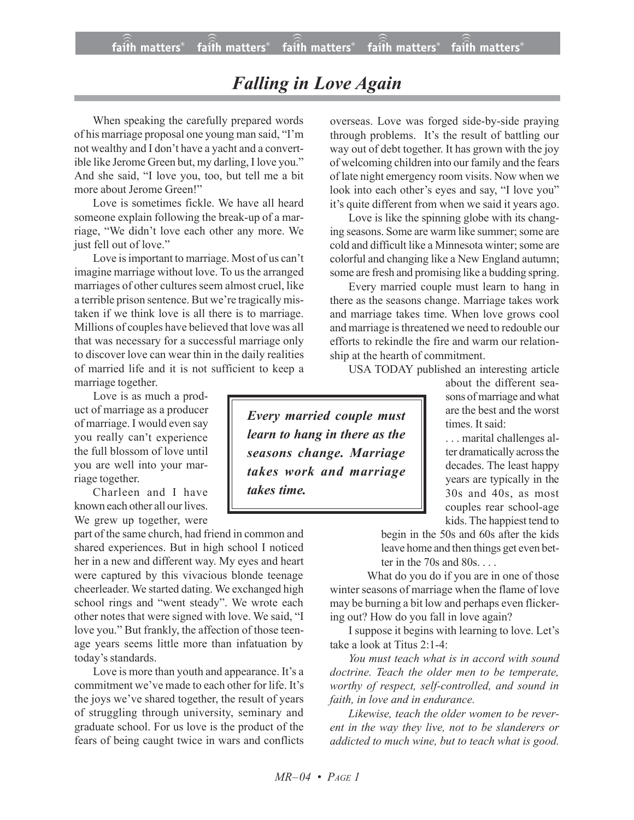## *Falling in Love Again*

When speaking the carefully prepared words of his marriage proposal one young man said, "I'm not wealthy and I don't have a yacht and a convertible like Jerome Green but, my darling, I love you." And she said, "I love you, too, but tell me a bit more about Jerome Green!"

Love is sometimes fickle. We have all heard someone explain following the break-up of a marriage, "We didn't love each other any more. We just fell out of love."

Love is important to marriage. Most of us can't imagine marriage without love. To us the arranged marriages of other cultures seem almost cruel, like a terrible prison sentence. But we're tragically mistaken if we think love is all there is to marriage. Millions of couples have believed that love was all that was necessary for a successful marriage only to discover love can wear thin in the daily realities of married life and it is not sufficient to keep a marriage together.

Love is as much a product of marriage as a producer of marriage. I would even say you really can't experience the full blossom of love until you are well into your marriage together.

Charleen and I have known each other all our lives. We grew up together, were

part of the same church, had friend in common and shared experiences. But in high school I noticed her in a new and different way. My eyes and heart were captured by this vivacious blonde teenage cheerleader. We started dating. We exchanged high school rings and "went steady". We wrote each other notes that were signed with love. We said, "I love you." But frankly, the affection of those teenage years seems little more than infatuation by today's standards.

Love is more than youth and appearance. It's a commitment we've made to each other for life. It's the joys we've shared together, the result of years of struggling through university, seminary and graduate school. For us love is the product of the fears of being caught twice in wars and conflicts overseas. Love was forged side-by-side praying through problems. It's the result of battling our way out of debt together. It has grown with the joy of welcoming children into our family and the fears of late night emergency room visits. Now when we look into each other's eyes and say, "I love you" it's quite different from when we said it years ago.

Love is like the spinning globe with its changing seasons. Some are warm like summer; some are cold and difficult like a Minnesota winter; some are colorful and changing like a New England autumn; some are fresh and promising like a budding spring.

Every married couple must learn to hang in there as the seasons change. Marriage takes work and marriage takes time. When love grows cool and marriage isthreatened we need to redouble our efforts to rekindle the fire and warm our relationship at the hearth of commitment.

USA TODAY published an interesting article

*Every married couple must learn to hang in there as the seasons change. Marriage takes work and marriage takes time.*

about the different seasons of marriage and what are the best and the worst times. It said:

. . . marital challenges alter dramatically across the decades. The least happy years are typically in the 30s and 40s, as most couples rear school-age kids. The happiest tend to

begin in the 50s and 60s after the kids leave home and then things get even better in the 70s and 80s. . . .

What do you do if you are in one of those winter seasons of marriage when the flame of love may be burning a bit low and perhaps even flickering out? How do you fall in love again?

I suppose it begins with learning to love. Let's take a look at Titus 2:1-4:

*You must teach what is in accord with sound doctrine. Teach the older men to be temperate, worthy of respect, self-controlled, and sound in faith, in love and in endurance.*

*Likewise, teach the older women to be reverent in the way they live, not to be slanderers or addicted to much wine, but to teach what is good.*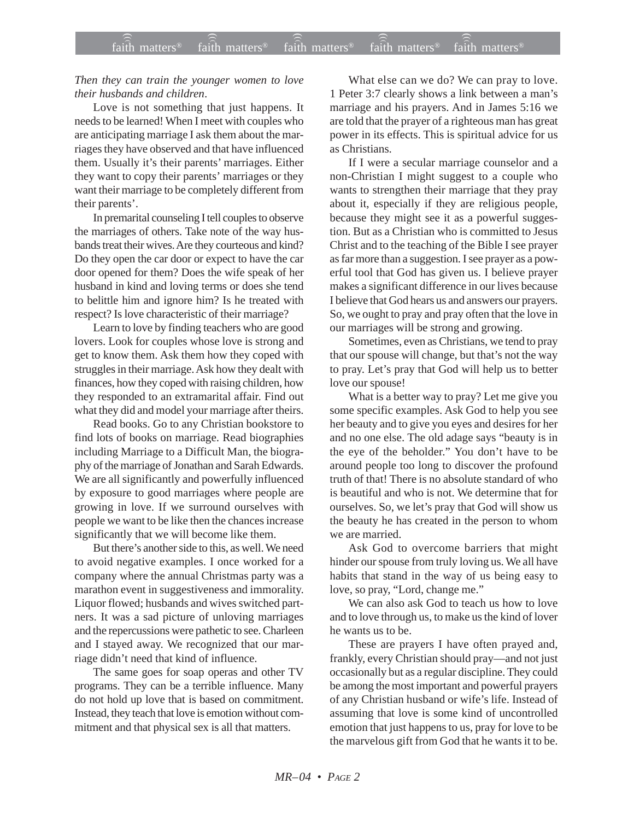## *Then they can train the younger women to love their husbands and children*.

Love is not something that just happens. It needs to be learned! When I meet with couples who are anticipating marriage I ask them about the marriages they have observed and that have influenced them. Usually it's their parents' marriages. Either they want to copy their parents' marriages or they want their marriage to be completely different from their parents'.

In premarital counseling I tell couples to observe the marriages of others. Take note of the way husbands treat their wives. Are they courteous and kind? Do they open the car door or expect to have the car door opened for them? Does the wife speak of her husband in kind and loving terms or does she tend to belittle him and ignore him? Is he treated with respect? Is love characteristic of their marriage?

Learn to love by finding teachers who are good lovers. Look for couples whose love is strong and get to know them. Ask them how they coped with struggles in their marriage. Ask how they dealt with finances, how they coped with raising children, how they responded to an extramarital affair. Find out what they did and model your marriage after theirs.

Read books. Go to any Christian bookstore to find lots of books on marriage. Read biographies including Marriage to a Difficult Man, the biography of the marriage of Jonathan and Sarah Edwards. We are all significantly and powerfully influenced by exposure to good marriages where people are growing in love. If we surround ourselves with people we want to be like then the chances increase significantly that we will become like them.

But there's another side to this, as well. We need to avoid negative examples. I once worked for a company where the annual Christmas party was a marathon event in suggestiveness and immorality. Liquor flowed; husbands and wives switched partners. It was a sad picture of unloving marriages and the repercussions were pathetic to see. Charleen and I stayed away. We recognized that our marriage didn't need that kind of influence.

The same goes for soap operas and other TV programs. They can be a terrible influence. Many do not hold up love that is based on commitment. Instead, they teach that love is emotion without commitment and that physical sex is all that matters.

What else can we do? We can pray to love. 1 Peter 3:7 clearly shows a link between a man's marriage and his prayers. And in James 5:16 we are told that the prayer of a righteous man has great power in its effects. This is spiritual advice for us as Christians.

If I were a secular marriage counselor and a non-Christian I might suggest to a couple who wants to strengthen their marriage that they pray about it, especially if they are religious people, because they might see it as a powerful suggestion. But as a Christian who is committed to Jesus Christ and to the teaching of the Bible I see prayer as far more than a suggestion. I see prayer as a powerful tool that God has given us. I believe prayer makes a significant difference in our lives because I believe that God hears us and answers our prayers. So, we ought to pray and pray often that the love in our marriages will be strong and growing.

Sometimes, even as Christians, we tend to pray that our spouse will change, but that's not the way to pray. Let's pray that God will help us to better love our spouse!

What is a better way to pray? Let me give you some specific examples. Ask God to help you see her beauty and to give you eyes and desires for her and no one else. The old adage says "beauty is in the eye of the beholder." You don't have to be around people too long to discover the profound truth of that! There is no absolute standard of who is beautiful and who is not. We determine that for ourselves. So, we let's pray that God will show us the beauty he has created in the person to whom we are married.

Ask God to overcome barriers that might hinder our spouse from truly loving us. We all have habits that stand in the way of us being easy to love, so pray, "Lord, change me."

We can also ask God to teach us how to love and to love through us, to make us the kind of lover he wants us to be.

These are prayers I have often prayed and, frankly, every Christian should pray—and not just occasionally but as a regular discipline. They could be among the most important and powerful prayers of any Christian husband or wife's life. Instead of assuming that love is some kind of uncontrolled emotion that just happens to us, pray for love to be the marvelous gift from God that he wants it to be.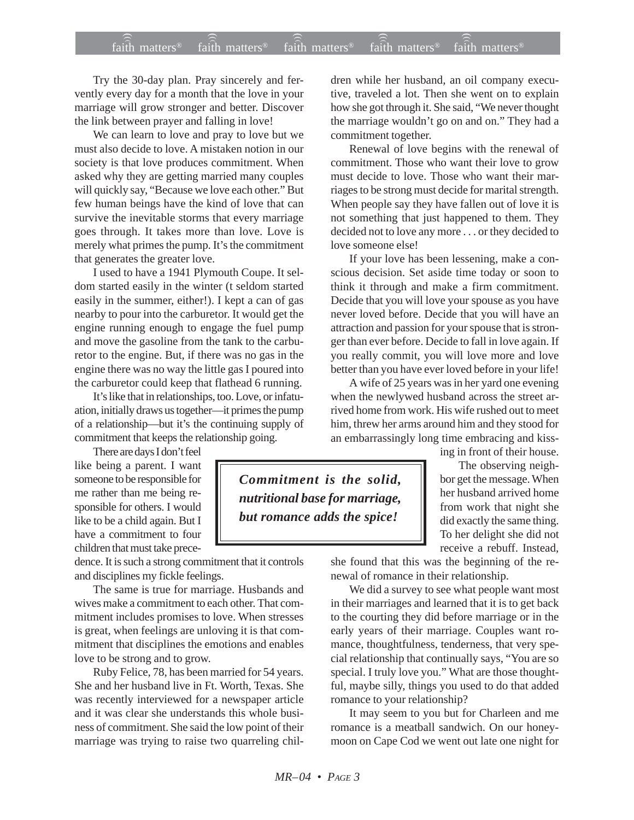## $f$ ai $\widehat{(\widehat{\widehat{\mathfrak{n}}})}$  matters®  $f$ ai $\widehat{\widehat{\mathfrak{m}}}$  matters®  $f$ aith matters®  $f$ aith matters® faith matters<sup>®</sup> faith matters<sup>®</sup> faith matters<sup>®</sup>

Try the 30-day plan. Pray sincerely and fervently every day for a month that the love in your marriage will grow stronger and better. Discover the link between prayer and falling in love!

We can learn to love and pray to love but we must also decide to love. A mistaken notion in our society is that love produces commitment. When asked why they are getting married many couples will quickly say, "Because we love each other." But few human beings have the kind of love that can survive the inevitable storms that every marriage goes through. It takes more than love. Love is merely what primes the pump. It's the commitment that generates the greater love.

I used to have a 1941 Plymouth Coupe. It seldom started easily in the winter (t seldom started easily in the summer, either!). I kept a can of gas nearby to pour into the carburetor. It would get the engine running enough to engage the fuel pump and move the gasoline from the tank to the carburetor to the engine. But, if there was no gas in the engine there was no way the little gas I poured into the carburetor could keep that flathead 6 running.

It's like that in relationships, too. Love, or infatuation, initially draws us together—it primes the pump of a relationship—but it's the continuing supply of commitment that keeps the relationship going.

There are days I don't feel like being a parent. I want someone to be responsible for me rather than me being responsible for others. I would like to be a child again. But I have a commitment to four children that must take prece-

dence. It is such a strong commitment that it controls and disciplines my fickle feelings.

The same is true for marriage. Husbands and wives make a commitment to each other. That commitment includes promises to love. When stresses is great, when feelings are unloving it is that commitment that disciplines the emotions and enables love to be strong and to grow.

Ruby Felice, 78, has been married for 54 years. She and her husband live in Ft. Worth, Texas. She was recently interviewed for a newspaper article and it was clear she understands this whole business of commitment. She said the low point of their marriage was trying to raise two quarreling children while her husband, an oil company executive, traveled a lot. Then she went on to explain how she got through it. She said, "We never thought the marriage wouldn't go on and on." They had a commitment together.

Renewal of love begins with the renewal of commitment. Those who want their love to grow must decide to love. Those who want their marriages to be strong must decide for marital strength. When people say they have fallen out of love it is not something that just happened to them. They decided not to love any more . . . or they decided to love someone else!

If your love has been lessening, make a conscious decision. Set aside time today or soon to think it through and make a firm commitment. Decide that you will love your spouse as you have never loved before. Decide that you will have an attraction and passion for your spouse that is stronger than ever before. Decide to fall in love again. If you really commit, you will love more and love better than you have ever loved before in your life!

A wife of 25 years was in her yard one evening when the newlywed husband across the street arrived home from work. His wife rushed out to meet him, threw her arms around him and they stood for an embarrassingly long time embracing and kiss-

*Commitment is the solid, nutritional base for marriage, but romance adds the spice!*

ing in front of their house.

The observing neighbor get the message. When her husband arrived home from work that night she did exactly the same thing. To her delight she did not receive a rebuff. Instead,

she found that this was the beginning of the renewal of romance in their relationship.

We did a survey to see what people want most in their marriages and learned that it is to get back to the courting they did before marriage or in the early years of their marriage. Couples want romance, thoughtfulness, tenderness, that very special relationship that continually says, "You are so special. I truly love you." What are those thoughtful, maybe silly, things you used to do that added romance to your relationship?

It may seem to you but for Charleen and me romance is a meatball sandwich. On our honeymoon on Cape Cod we went out late one night for